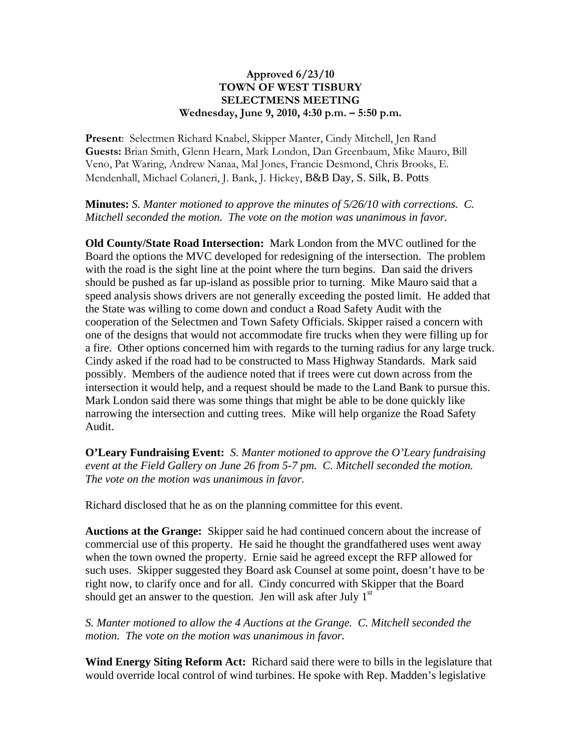## **Approved 6/23/10 TOWN OF WEST TISBURY SELECTMENS MEETING Wednesday, June 9, 2010, 4:30 p.m. – 5:50 p.m.**

**Present**: Selectmen Richard Knabel, Skipper Manter, Cindy Mitchell, Jen Rand **Guests:** Brian Smith, Glenn Hearn, Mark London, Dan Greenbaum, Mike Mauro, Bill Veno, Pat Waring, Andrew Nanaa, Mal Jones, Francie Desmond, Chris Brooks, E. Mendenhall, Michael Colaneri, J. Bank, J. Hickey, B&B Day, S. Silk, B. Potts

**Minutes:** *S. Manter motioned to approve the minutes of 5/26/10 with corrections. C. Mitchell seconded the motion. The vote on the motion was unanimous in favor.*

**Old County/State Road Intersection:** Mark London from the MVC outlined for the Board the options the MVC developed for redesigning of the intersection. The problem with the road is the sight line at the point where the turn begins. Dan said the drivers should be pushed as far up-island as possible prior to turning. Mike Mauro said that a speed analysis shows drivers are not generally exceeding the posted limit. He added that the State was willing to come down and conduct a Road Safety Audit with the cooperation of the Selectmen and Town Safety Officials. Skipper raised a concern with one of the designs that would not accommodate fire trucks when they were filling up for a fire. Other options concerned him with regards to the turning radius for any large truck. Cindy asked if the road had to be constructed to Mass Highway Standards. Mark said possibly. Members of the audience noted that if trees were cut down across from the intersection it would help, and a request should be made to the Land Bank to pursue this. Mark London said there was some things that might be able to be done quickly like narrowing the intersection and cutting trees. Mike will help organize the Road Safety Audit.

**O'Leary Fundraising Event:** *S. Manter motioned to approve the O'Leary fundraising event at the Field Gallery on June 26 from 5-7 pm. C. Mitchell seconded the motion. The vote on the motion was unanimous in favor.*

Richard disclosed that he as on the planning committee for this event.

**Auctions at the Grange:** Skipper said he had continued concern about the increase of commercial use of this property. He said he thought the grandfathered uses went away when the town owned the property. Ernie said he agreed except the RFP allowed for such uses. Skipper suggested they Board ask Counsel at some point, doesn't have to be right now, to clarify once and for all. Cindy concurred with Skipper that the Board should get an answer to the question. Jen will ask after July  $1<sup>st</sup>$ 

*S. Manter motioned to allow the 4 Auctions at the Grange. C. Mitchell seconded the motion. The vote on the motion was unanimous in favor.*

**Wind Energy Siting Reform Act:** Richard said there were to bills in the legislature that would override local control of wind turbines. He spoke with Rep. Madden's legislative